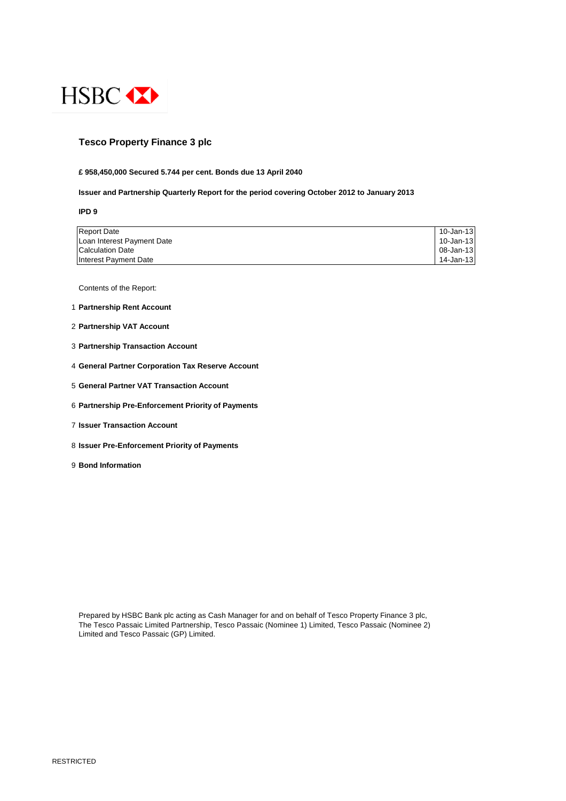

## **Tesco Property Finance 3 plc**

#### **£ 958,450,000 Secured 5.744 per cent. Bonds due 13 April 2040**

#### **Issuer and Partnership Quarterly Report for the period covering October 2012 to January 2013**

**IPD 9**

| <b>Report Date</b>         | 10-Jan-13 |
|----------------------------|-----------|
| Loan Interest Payment Date | 10-Jan-13 |
| <b>Calculation Date</b>    | 08-Jan-13 |
| Interest Payment Date      | 14-Jan-13 |

Contents of the Report:

- 1 **Partnership Rent Account**
- 2 **Partnership VAT Account**
- 3 **Partnership Transaction Account**
- 4 **General Partner Corporation Tax Reserve Account**
- 5 **General Partner VAT Transaction Account**
- 6 **Partnership Pre-Enforcement Priority of Payments**
- 7 **Issuer Transaction Account**
- 8 **Issuer Pre-Enforcement Priority of Payments**
- 9 **Bond Information**

Prepared by HSBC Bank plc acting as Cash Manager for and on behalf of Tesco Property Finance 3 plc, The Tesco Passaic Limited Partnership, Tesco Passaic (Nominee 1) Limited, Tesco Passaic (Nominee 2) Limited and Tesco Passaic (GP) Limited.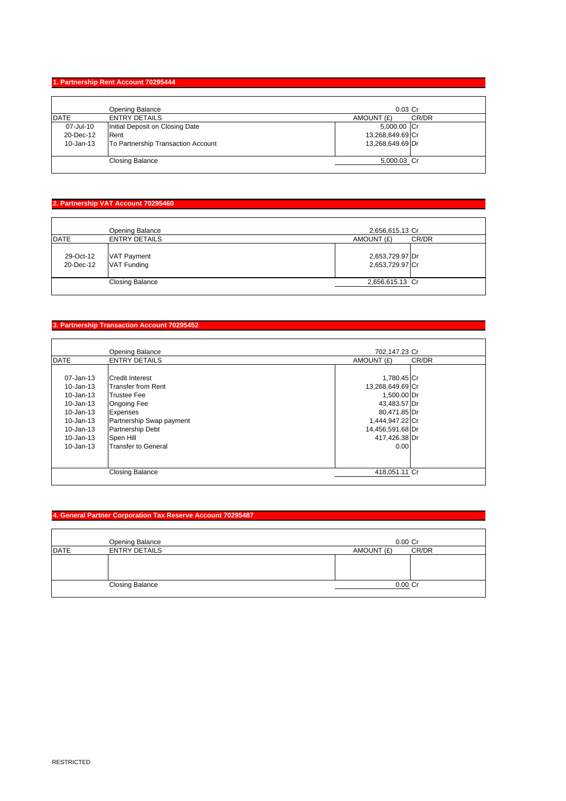#### **1. Partnership Rent Account 70295444**

|               | Opening Balance                    | $0.03$ Cr        |       |
|---------------|------------------------------------|------------------|-------|
| <b>DATE</b>   | <b>ENTRY DETAILS</b>               | AMOUNT (£)       | CR/DR |
| 07-Jul-10     | Initial Deposit on Closing Date    | 5,000.00 Cr      |       |
| 20-Dec-12     | Rent                               | 13,268,649.69 Cr |       |
| $10 - Jan-13$ | To Partnership Transaction Account | 13,268,649.69 Dr |       |
|               | <b>Closing Balance</b>             | 5,000.03 Cr      |       |

## **2. Partnership VAT Account 70295460**

| <b>DATE</b> | Opening Balance<br><b>ENTRY DETAILS</b> | 2,656,615.13 Cr<br>AMOUNT (£) | CR/DR |
|-------------|-----------------------------------------|-------------------------------|-------|
|             |                                         |                               |       |
| 29-Oct-12   | <b>VAT Payment</b>                      | 2,653,729.97 Dr               |       |
| 20-Dec-12   | <b>VAT Funding</b>                      | 2,653,729.97 Cr               |       |
|             | <b>Closing Balance</b>                  | 2,656,615.13 Cr               |       |

## **3. Partnership Transaction Account 70295452**

|               | Opening Balance            | 702,147.23 Cr    |       |
|---------------|----------------------------|------------------|-------|
| <b>DATE</b>   | <b>ENTRY DETAILS</b>       | AMOUNT (£)       | CR/DR |
|               |                            |                  |       |
| $07 - Jan-13$ | Credit Interest            | 1,780.45 Cr      |       |
| 10-Jan-13     | <b>Transfer from Rent</b>  | 13,268,649.69 Cr |       |
| $10 - Jan-13$ | <b>Trustee Fee</b>         | 1,500.00 Dr      |       |
| $10 - Jan-13$ | <b>Ongoing Fee</b>         | 43,483.57 Dr     |       |
| 10-Jan-13     | Expenses                   | 80,471.85 Dr     |       |
| 10-Jan-13     | Partnership Swap payment   | 1,444,947.22 Cr  |       |
| $10 - Jan-13$ | <b>Partnership Debt</b>    | 14,456,591.68 Dr |       |
| 10-Jan-13     | Spen Hill                  | 417,426.38 Dr    |       |
| 10-Jan-13     | <b>Transfer to General</b> | 0.00             |       |
|               |                            |                  |       |
|               |                            |                  |       |
|               | <b>Closing Balance</b>     | 418,051.11 Cr    |       |

## **4. General Partner Corporation Tax Reserve Account 70295487**

|             | Opening Balance        | $0.00$ Cr  |       |
|-------------|------------------------|------------|-------|
| <b>DATE</b> | <b>ENTRY DETAILS</b>   | AMOUNT (£) | CR/DR |
|             |                        |            |       |
|             | <b>Closing Balance</b> | $0.00$ Cr  |       |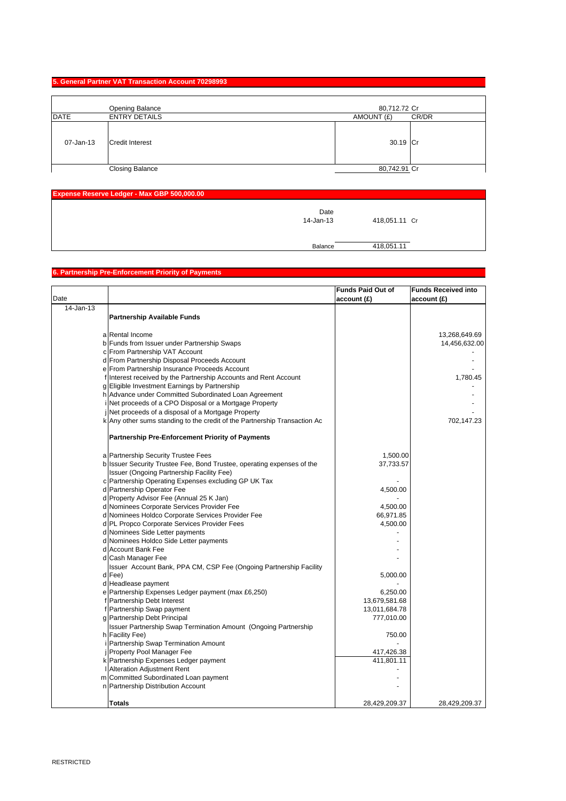#### **5. General Partner VAT Transaction Account 70298993**

|             | Opening Balance        | 80,712.72 Cr |       |
|-------------|------------------------|--------------|-------|
| <b>DATE</b> | <b>ENTRY DETAILS</b>   | AMOUNT (£)   | CR/DR |
| 07-Jan-13   | <b>Credit Interest</b> | 30.19 Cr     |       |
|             | <b>Closing Balance</b> | 80,742.91 Cr |       |

| Expense Reserve Ledger - Max GBP 500,000.00 |               |  |
|---------------------------------------------|---------------|--|
| Date<br>14-Jan-13                           | 418,051.11 Cr |  |
| Balance                                     | 418,051.11    |  |

# **6. Partnership Pre-Enforcement Priority of Payments**

|           |                                                                           | <b>Funds Paid Out of</b> | <b>Funds Received into</b> |
|-----------|---------------------------------------------------------------------------|--------------------------|----------------------------|
| Date      |                                                                           | account (£)              | account(E)                 |
| 14-Jan-13 |                                                                           |                          |                            |
|           | <b>Partnership Available Funds</b>                                        |                          |                            |
|           |                                                                           |                          |                            |
|           | a Rental Income                                                           |                          | 13,268,649.69              |
|           | b Funds from Issuer under Partnership Swaps                               |                          | 14,456,632.00              |
|           | c From Partnership VAT Account                                            |                          |                            |
|           | d From Partnership Disposal Proceeds Account                              |                          |                            |
|           | e From Partnership Insurance Proceeds Account                             |                          |                            |
|           | f Interest received by the Partnership Accounts and Rent Account          |                          | 1,780.45                   |
|           | g Eligible Investment Earnings by Partnership                             |                          |                            |
|           | h Advance under Committed Subordinated Loan Agreement                     |                          |                            |
|           | i Net proceeds of a CPO Disposal or a Mortgage Property                   |                          |                            |
|           | jNet proceeds of a disposal of a Mortgage Property                        |                          |                            |
|           | k Any other sums standing to the credit of the Partnership Transaction Ac |                          | 702,147.23                 |
|           |                                                                           |                          |                            |
|           | <b>Partnership Pre-Enforcement Priority of Payments</b>                   |                          |                            |
|           | a Partnership Security Trustee Fees                                       | 1,500.00                 |                            |
|           | b Issuer Security Trustee Fee, Bond Trustee, operating expenses of the    | 37,733.57                |                            |
|           | Issuer (Ongoing Partnership Facility Fee)                                 |                          |                            |
|           | c Partnership Operating Expenses excluding GP UK Tax                      |                          |                            |
|           | d Partnership Operator Fee                                                | 4,500.00                 |                            |
|           | d Property Advisor Fee (Annual 25 K Jan)                                  |                          |                            |
|           | d Nominees Corporate Services Provider Fee                                | 4,500.00                 |                            |
|           | d Nominees Holdco Corporate Services Provider Fee                         | 66,971.85                |                            |
|           | d PL Propco Corporate Services Provider Fees                              | 4,500.00                 |                            |
|           | d Nominees Side Letter payments                                           |                          |                            |
|           | d Nominees Holdco Side Letter payments                                    |                          |                            |
|           | d Account Bank Fee                                                        |                          |                            |
|           | d Cash Manager Fee                                                        |                          |                            |
|           | Issuer Account Bank, PPA CM, CSP Fee (Ongoing Partnership Facility        |                          |                            |
|           | d Fee)                                                                    | 5,000.00                 |                            |
|           | d Headlease payment                                                       |                          |                            |
|           | e Partnership Expenses Ledger payment (max £6,250)                        | 6,250.00                 |                            |
|           | f Partnership Debt Interest                                               | 13,679,581.68            |                            |
|           | f Partnership Swap payment                                                | 13,011,684.78            |                            |
|           | g Partnership Debt Principal                                              | 777,010.00               |                            |
|           | <b>Issuer Partnership Swap Termination Amount (Ongoing Partnership</b>    |                          |                            |
|           | h Facility Fee)                                                           | 750.00                   |                            |
|           | i Partnership Swap Termination Amount                                     |                          |                            |
|           | j Property Pool Manager Fee                                               | 417,426.38               |                            |
|           | k Partnership Expenses Ledger payment                                     | 411,801.11               |                            |
|           | Alteration Adjustment Rent                                                |                          |                            |
|           | m Committed Subordinated Loan payment                                     |                          |                            |
|           | n Partnership Distribution Account                                        |                          |                            |
|           |                                                                           |                          |                            |
|           | Totals                                                                    | 28,429,209.37            | 28,429,209.37              |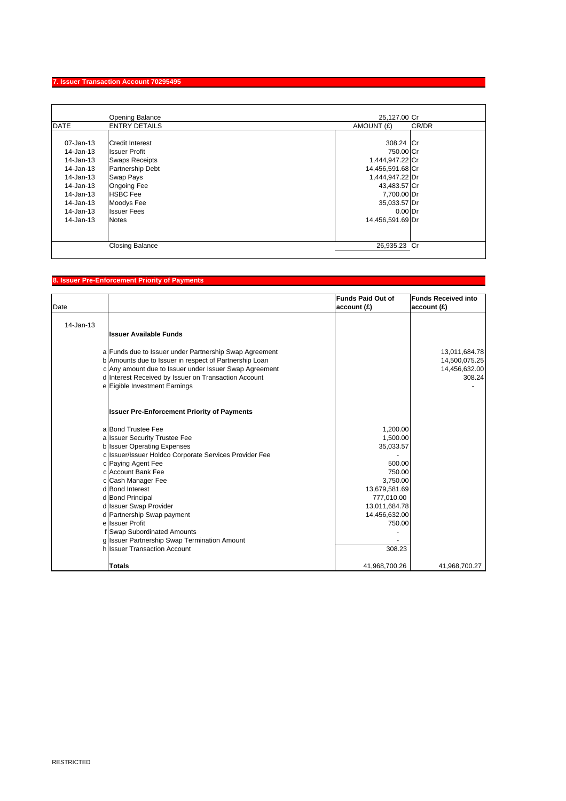## **7. Issuer Transaction Account 70295495**

|               | Opening Balance        | 25,127.00 Cr     |       |
|---------------|------------------------|------------------|-------|
| <b>DATE</b>   | <b>ENTRY DETAILS</b>   | AMOUNT (£)       | CR/DR |
|               |                        |                  |       |
| $07 - Jan-13$ | Credit Interest        | 308.24 Cr        |       |
| 14-Jan-13     | <b>Issuer Profit</b>   | 750.00 Cr        |       |
| 14-Jan-13     | <b>Swaps Receipts</b>  | 1,444,947.22 Cr  |       |
| 14-Jan-13     | Partnership Debt       | 14,456,591.68 Cr |       |
| 14-Jan-13     | Swap Pays              | 1,444,947.22 Dr  |       |
| 14-Jan-13     | <b>Ongoing Fee</b>     | 43,483.57 Cr     |       |
| 14-Jan-13     | <b>HSBC</b> Fee        | 7,700.00 Dr      |       |
| 14-Jan-13     | Moodys Fee             | 35,033.57 Dr     |       |
| 14-Jan-13     | <b>Issuer Fees</b>     | $0.00$ Dr        |       |
| $14$ -Jan-13  | <b>Notes</b>           | 14,456,591.69 Dr |       |
|               |                        |                  |       |
|               | <b>Closing Balance</b> | 26,935.23 Cr     |       |

## **8. Issuer Pre-Enforcement Priority of Payments**

| Date         |                                                        | <b>Funds Paid Out of</b><br>account(E) | <b>Funds Received into</b><br>account(E) |
|--------------|--------------------------------------------------------|----------------------------------------|------------------------------------------|
| $14$ -Jan-13 |                                                        |                                        |                                          |
|              | <b>Issuer Available Funds</b>                          |                                        |                                          |
|              | a Funds due to Issuer under Partnership Swap Agreement |                                        | 13,011,684.78                            |
|              | b Amounts due to Issuer in respect of Partnership Loan |                                        | 14,500,075.25                            |
|              | c Any amount due to Issuer under Issuer Swap Agreement |                                        | 14,456,632.00                            |
|              | d Interest Received by Issuer on Transaction Account   |                                        | 308.24                                   |
|              | e Eigible Investment Earnings                          |                                        |                                          |
|              | <b>Issuer Pre-Enforcement Priority of Payments</b>     |                                        |                                          |
|              | a Bond Trustee Fee                                     | 1,200.00                               |                                          |
|              | a Issuer Security Trustee Fee                          | 1,500.00                               |                                          |
|              | <b>b</b> Issuer Operating Expenses                     | 35,033.57                              |                                          |
|              | c Issuer/Issuer Holdco Corporate Services Provider Fee |                                        |                                          |
|              | c Paying Agent Fee                                     | 500.00                                 |                                          |
|              | c Account Bank Fee                                     | 750.00                                 |                                          |
|              | c Cash Manager Fee                                     | 3,750.00                               |                                          |
|              | d Bond Interest                                        | 13,679,581.69                          |                                          |
|              | d Bond Principal                                       | 777,010.00                             |                                          |
|              | d Issuer Swap Provider                                 | 13,011,684.78                          |                                          |
|              | d Partnership Swap payment                             | 14,456,632.00                          |                                          |
|              | e Issuer Profit                                        | 750.00                                 |                                          |
|              | f Swap Subordinated Amounts                            |                                        |                                          |
|              | g Issuer Partnership Swap Termination Amount           |                                        |                                          |
|              | h Issuer Transaction Account                           | 308.23                                 |                                          |
|              | <b>Totals</b>                                          | 41,968,700.26                          | 41,968,700.27                            |